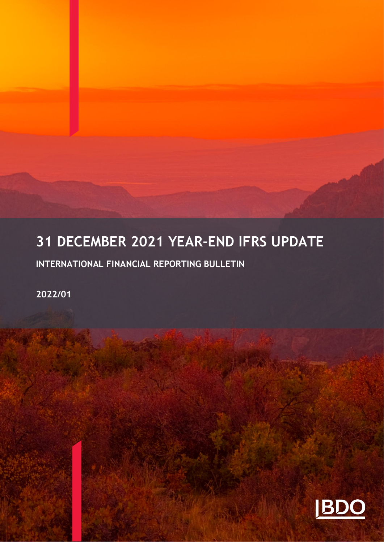# **31 DECEMBER 2021 YEAR-END IFRS UPDATE**

**INTERNATIONAL FINANCIAL REPORTING BULLETIN** 

**2022/01**

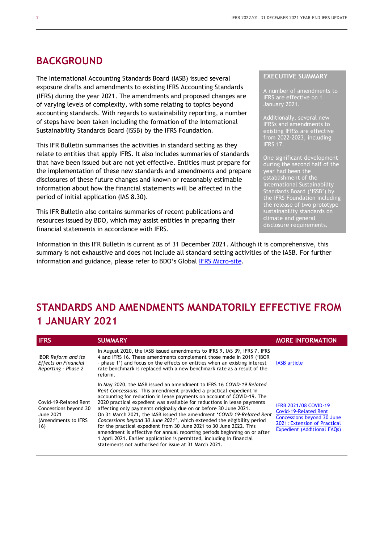## **BACKGROUND**

The International Accounting Standards Board (IASB) issued several exposure drafts and amendments to existing IFRS Accounting Standards (IFRS) during the year 2021. The amendments and proposed changes are of varying levels of complexity, with some relating to topics beyond accounting standards. With regards to sustainability reporting, a number of steps have been taken including the formation of the International Sustainability Standards Board (ISSB) by the IFRS Foundation.

This IFR Bulletin summarises the activities in standard setting as they relate to entities that apply IFRS. It also includes summaries of standards that have been issued but are not yet effective. Entities must prepare for the implementation of these new standards and amendments and prepare disclosures of these future changes and known or reasonably estimable information about how the financial statements will be affected in the period of initial application (IAS 8.30).

This IFR Bulletin also contains summaries of recent publications and resources issued by BDO, which may assist entities in preparing their financial statements in accordance with IFRS.

Information in this IFR Bulletin is current as of 31 December 2021. Although it is comprehensive, this summary is not exhaustive and does not include all standard setting activities of the IASB. For further information and guidance, please refer to BDO's Global [IFRS Micro-site.](https://www.bdo.global/en-gb/microsites/ifrs/ifrs-reporting)

#### **EXECUTIVE SUMMARY**

A number of amendments to IFRS are effective on 1 January 2021.

Additionally, several new IFRSs and amendments to existing IFRSs are effective  $f$ rom 2022 $\overline{2}$ -2023, including IFRS 17.

One significant development during the second half of the year had been the establishment of the International Sustainability Standards Board ('ISSB') by the IFRS Foundation including the release of two prototype sustainability standards on climate and general disclosure requirements.

## **STANDARDS AND AMENDMENTS MANDATORILY EFFECTIVE FROM 1 JANUARY 2021**

| <b>IFRS</b>                                                                               | <b>SUMMARY</b>                                                                                                                                                                                                                                                                                                                                                                                                                                                                                                                                                                                                                                                                                                                                                                                                    | <b>MORE INFORMATION</b>                                                                                                                                                 |
|-------------------------------------------------------------------------------------------|-------------------------------------------------------------------------------------------------------------------------------------------------------------------------------------------------------------------------------------------------------------------------------------------------------------------------------------------------------------------------------------------------------------------------------------------------------------------------------------------------------------------------------------------------------------------------------------------------------------------------------------------------------------------------------------------------------------------------------------------------------------------------------------------------------------------|-------------------------------------------------------------------------------------------------------------------------------------------------------------------------|
| <b>IBOR Reform and its</b><br><b>Effects on Financial</b><br>Reporting - Phase 2          | In August 2020, the IASB issued amendments to IFRS 9, IAS 39, IFRS 7, IFRS<br>4 and IFRS 16. These amendments complement those made in 2019 ('IBOR<br>- phase 1') and focus on the effects on entities when an existing interest<br>rate benchmark is replaced with a new benchmark rate as a result of the<br>reform.                                                                                                                                                                                                                                                                                                                                                                                                                                                                                            | <b>IASB</b> article                                                                                                                                                     |
| Covid-19-Related Rent<br>Concessions beyond 30<br>June 2021<br>(Amendments to IFRS<br>16) | In May 2020, the IASB issued an amendment to IFRS 16 COVID-19 Related<br>Rent Concessions. This amendment provided a practical expedient in<br>accounting for reduction in lease payments on account of COVID-19. The<br>2020 practical expedient was available for reductions in lease payments<br>affecting only payments originally due on or before 30 June 2021.<br>On 31 March 2021, the IASB issued the amendment 'COVID 19-Related Rent<br>Concessions beyond 30 June 2021', which extended the eligibility period<br>for the practical expedient from 30 June 2021 to 30 June 2022. This<br>amendment is effective for annual reporting periods beginning on or after<br>1 April 2021. Earlier application is permitted, including in financial<br>statements not authorised for issue at 31 March 2021. | <b>IFRB 2021/08 COVID-19</b><br><b>Covid-19-Related Rent</b><br><b>Concessions beyond 30 June</b><br>2021: Extension of Practical<br><b>Expedient (Additional FAQs)</b> |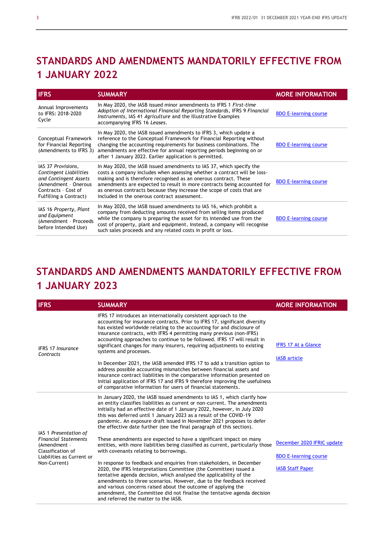# **STANDARDS AND AMENDMENTS MANDATORILY EFFECTIVE FROM 1 JANUARY 2022**

| <b>IFRS</b>                                                                                                                                    | <b>SUMMARY</b>                                                                                                                                                                                                                                                                                                                                                                                                            | <b>MORE INFORMATION</b>      |
|------------------------------------------------------------------------------------------------------------------------------------------------|---------------------------------------------------------------------------------------------------------------------------------------------------------------------------------------------------------------------------------------------------------------------------------------------------------------------------------------------------------------------------------------------------------------------------|------------------------------|
| Annual Improvements<br>to IFRS: 2018-2020<br>Cycle                                                                                             | In May 2020, the IASB issued minor amendments to IFRS 1 First-time<br>Adoption of International Financial Reporting Standards, IFRS 9 Financial<br>Instruments, IAS 41 Agriculture and the Illustrative Examples<br>accompanying IFRS 16 Leases.                                                                                                                                                                          | <b>BDO E-learning course</b> |
| Conceptual Framework<br>for Financial Reporting<br>(Amendments to IFRS 3)                                                                      | In May 2020, the IASB issued amendments to IFRS 3, which update a<br>reference to the Conceptual Framework for Financial Reporting without<br>changing the accounting requirements for business combinations. The<br>amendments are effective for annual reporting periods beginning on or<br>after 1 January 2022. Earlier application is permitted.                                                                     | <b>BDO E-learning course</b> |
| IAS 37 Provisions,<br>Contingent Liabilities<br>and Contingent Assets<br>(Amendment - Onerous<br>Contracts - Cost of<br>Fulfilling a Contract) | In May 2020, the IASB issued amendments to IAS 37, which specify the<br>costs a company includes when assessing whether a contract will be loss-<br>making and is therefore recognised as an onerous contract. These<br>amendments are expected to result in more contracts being accounted for<br>as onerous contracts because they increase the scope of costs that are<br>included in the onerous contract assessment. | <b>BDO E-learning course</b> |
| IAS 16 Property, Plant<br>and Equipment<br>(Amendment - Proceeds<br>before Intended Use)                                                       | In May 2020, the IASB issued amendments to IAS 16, which prohibit a<br>company from deducting amounts received from selling items produced<br>while the company is preparing the asset for its intended use from the<br>cost of property, plant and equipment. Instead, a company will recognise<br>such sales proceeds and any related costs in profit or loss.                                                          | <b>BDO E-learning course</b> |

# **STANDARDS AND AMENDMENTS MANDATORILY EFFECTIVE FROM 1 JANUARY 2023**

| <b>IFRS</b>                                                                                                   | <b>SUMMARY</b>                                                                                                                                                                                                                                                                                                                                                                                                                                                                      | <b>MORE INFORMATION</b>                                    |
|---------------------------------------------------------------------------------------------------------------|-------------------------------------------------------------------------------------------------------------------------------------------------------------------------------------------------------------------------------------------------------------------------------------------------------------------------------------------------------------------------------------------------------------------------------------------------------------------------------------|------------------------------------------------------------|
| <b>IFRS 17 Insurance</b><br>Contracts                                                                         | IFRS 17 introduces an internationally consistent approach to the<br>accounting for insurance contracts. Prior to IFRS 17, significant diversity<br>has existed worldwide relating to the accounting for and disclosure of<br>insurance contracts, with IFRS 4 permitting many previous (non-IFRS)<br>accounting approaches to continue to be followed. IFRS 17 will result in<br>significant changes for many insurers, requiring adjustments to existing<br>systems and processes. | <b>IFRS 17 At a Glance</b><br><b>IASB</b> article          |
|                                                                                                               | In December 2021, the IASB amended IFRS 17 to add a transition option to<br>address possible accounting mismatches between financial assets and<br>insurance contract liabilities in the comparative information presented on<br>initial application of IFRS 17 and IFRS 9 therefore improving the usefulness<br>of comparative information for users of financial statements.                                                                                                      |                                                            |
| IAS 1 Presentation of                                                                                         | In January 2020, the IASB issued amendments to IAS 1, which clarify how<br>an entity classifies liabilities as current or non-current. The amendments<br>initially had an effective date of 1 January 2022, however, in July 2020<br>this was deferred until 1 January 2023 as a result of the COVID-19<br>pandemic. An exposure draft issued in November 2021 proposes to defer<br>the effective date further (see the final paragraph of this section).                           |                                                            |
| <b>Financial Statements</b><br>(Amendment -<br>Classification of<br>Liabilities as Current or<br>Non-Current) | These amendments are expected to have a significant impact on many<br>entities, with more liabilities being classified as current, particularly those<br>with covenants relating to borrowings.                                                                                                                                                                                                                                                                                     | December 2020 IFRIC update<br><b>BDO E-learning course</b> |
|                                                                                                               | In response to feedback and enquiries from stakeholders, in December<br>2020, the IFRS Interpretations Committee (the Committee) issued a<br>tentative agenda decision, which analysed the applicability of the<br>amendments to three scenarios. However, due to the feedback received<br>and various concerns raised about the outcome of applying the<br>amendment, the Committee did not finalise the tentative agenda decision<br>and referred the matter to the IASB.         | <b>IASB Staff Paper</b>                                    |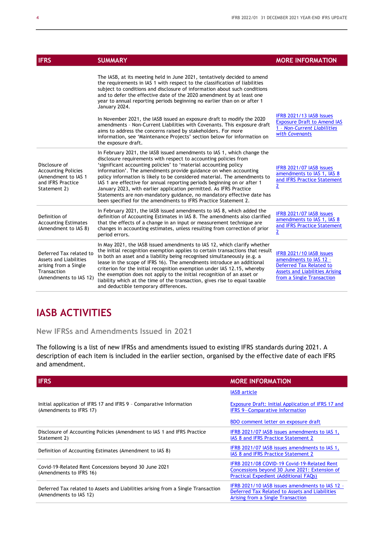| <b>IFRS</b>                                                                                                                | <b>SUMMARY</b>                                                                                                                                                                                                                                                                                                                                                                                                                                                                                                                                                                                                                                                  | <b>MORE INFORMATION</b>                                                                                                                                    |
|----------------------------------------------------------------------------------------------------------------------------|-----------------------------------------------------------------------------------------------------------------------------------------------------------------------------------------------------------------------------------------------------------------------------------------------------------------------------------------------------------------------------------------------------------------------------------------------------------------------------------------------------------------------------------------------------------------------------------------------------------------------------------------------------------------|------------------------------------------------------------------------------------------------------------------------------------------------------------|
|                                                                                                                            | The IASB, at its meeting held in June 2021, tentatively decided to amend<br>the requirements in IAS 1 with respect to the classification of liabilities<br>subject to conditions and disclosure of information about such conditions<br>and to defer the effective date of the 2020 amendment by at least one<br>year to annual reporting periods beginning no earlier than on or after 1<br>January 2024.                                                                                                                                                                                                                                                      |                                                                                                                                                            |
|                                                                                                                            | In November 2021, the IASB issued an exposure draft to modify the 2020<br>amendments - Non-Current Liabilities with Covenants. This exposure draft<br>aims to address the concerns raised by stakeholders. For more<br>information, see 'Maintenance Projects' section below for information on<br>the exposure draft.                                                                                                                                                                                                                                                                                                                                          | IFRB 2021/13 IASB Issues<br><b>Exposure Draft to Amend IAS</b><br>1 - Non-Current Liabilities<br>with Covenants                                            |
| Disclosure of<br><b>Accounting Policies</b><br>(Amendment to IAS 1<br>and IFRS Practice<br>Statement 2)                    | In February 2021, the IASB issued amendments to IAS 1, which change the<br>disclosure requirements with respect to accounting policies from<br>'significant accounting policies' to 'material accounting policy<br>information'. The amendments provide guidance on when accounting<br>policy information is likely to be considered material. The amendments to<br>IAS 1 are effective for annual reporting periods beginning on or after 1<br>January 2023, with earlier application permitted. As IFRS Practice<br>Statements are non-mandatory guidance, no mandatory effective date has<br>been specified for the amendments to IFRS Practice Statement 2. | IFRB 2021/07 IASB issues<br>amendments to IAS 1, IAS 8<br>and IFRS Practice Statement<br>$\overline{2}$                                                    |
| Definition of<br><b>Accounting Estimates</b><br>(Amendment to IAS 8)                                                       | In February 2021, the IASB issued amendments to IAS 8, which added the<br>definition of Accounting Estimates in IAS 8. The amendments also clarified<br>that the effects of a change in an input or measurement technique are<br>changes in accounting estimates, unless resulting from correction of prior<br>period errors.                                                                                                                                                                                                                                                                                                                                   | IFRB 2021/07 IASB issues<br>amendments to IAS 1, IAS 8<br>and IFRS Practice Statement<br>$\overline{2}$                                                    |
| Deferred Tax related to<br><b>Assets and Liabilities</b><br>arising from a Single<br>Transaction<br>(Amendments to IAS 12) | In May 2021, the IASB issued amendments to IAS 12, which clarify whether<br>the initial recognition exemption applies to certain transactions that result<br>in both an asset and a liability being recognised simultaneously (e.g. a<br>lease in the scope of IFRS 16). The amendments introduce an additional<br>criterion for the initial recognition exemption under IAS 12.15, whereby<br>the exemption does not apply to the initial recognition of an asset or<br>liability which at the time of the transaction, gives rise to equal taxable<br>and deductible temporary differences.                                                                   | IFRB 2021/10 IASB issues<br>amendments to IAS 12 -<br><b>Deferred Tax Related to</b><br><b>Assets and Liabilities Arising</b><br>from a Single Transaction |

## **IASB ACTIVITIES**

**New IFRSs and Amendments Issued in 2021**

The following is a list of new IFRSs and amendments issued to existing IFRS standards during 2021. A description of each item is included in the earlier section, organised by the effective date of each IFRS and amendment.

| <b>IFRS</b>                                                                                                | <b>MORE INFORMATION</b>                                                                                                                |
|------------------------------------------------------------------------------------------------------------|----------------------------------------------------------------------------------------------------------------------------------------|
|                                                                                                            | <b>IASB</b> article                                                                                                                    |
| Initial application of IFRS 17 and IFRS 9 - Comparative Information<br>(Amendments to IFRS 17)             | Exposure Draft: Initial Application of IFRS 17 and<br><b>IFRS 9-Comparative Information</b>                                            |
|                                                                                                            | BDO comment letter on exposure draft                                                                                                   |
| Disclosure of Accounting Policies (Amendment to IAS 1 and IFRS Practice<br>Statement 2)                    | IFRB 2021/07 IASB issues amendments to IAS 1,<br>IAS 8 and IFRS Practice Statement 2                                                   |
| Definition of Accounting Estimates (Amendment to IAS 8)                                                    | IFRB 2021/07 IASB issues amendments to IAS 1,<br>IAS 8 and IFRS Practice Statement 2                                                   |
| Covid-19-Related Rent Concessions beyond 30 June 2021<br>(Amendments to IFRS 16)                           | IFRB 2021/08 COVID-19 Covid-19-Related Rent<br>Concessions beyond 30 June 2021: Extension of<br>Practical Expedient (Additional FAQs)  |
| Deferred Tax related to Assets and Liabilities arising from a Single Transaction<br>(Amendments to IAS 12) | IFRB 2021/10 IASB issues amendments to IAS 12 -<br>Deferred Tax Related to Assets and Liabilities<br>Arising from a Single Transaction |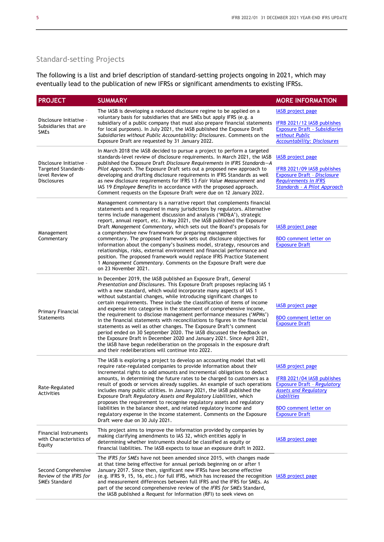## Standard-setting Projects

The following is a list and brief description of standard-setting projects ongoing in 2021, which may eventually lead to the publication of new IFRSs or significant amendments to existing IFRSs.

| <b>PROJECT</b>                                                                                 | <b>SUMMARY</b>                                                                                                                                                                                                                                                                                                                                                                                                                                                                                                                                                                                                                                                                                                                                                                                                                                                                                                                                                         | <b>MORE INFORMATION</b>                                                                                                                                                                                      |
|------------------------------------------------------------------------------------------------|------------------------------------------------------------------------------------------------------------------------------------------------------------------------------------------------------------------------------------------------------------------------------------------------------------------------------------------------------------------------------------------------------------------------------------------------------------------------------------------------------------------------------------------------------------------------------------------------------------------------------------------------------------------------------------------------------------------------------------------------------------------------------------------------------------------------------------------------------------------------------------------------------------------------------------------------------------------------|--------------------------------------------------------------------------------------------------------------------------------------------------------------------------------------------------------------|
| Disclosure Initiative -<br>Subsidiaries that are<br><b>SMEs</b>                                | The IASB is developing a reduced disclosure regime to be applied on a<br>voluntary basis for subsidiaries that are SMEs but apply IFRS (e.g. a<br>subsidiary of a public company that must also prepare financial statements<br>for local purposes). In July 2021, the IASB published the Exposure Draft<br>Subsidiaries without Public Accountability: Disclosures. Comments on the<br>Exposure Draft are requested by 31 January 2022.                                                                                                                                                                                                                                                                                                                                                                                                                                                                                                                               | <b>IASB</b> project page<br>IFRB 2021/12 IASB publishes<br><b>Exposure Draft - Subsidiaries</b><br>without Public<br><b>Accountability: Disclosures</b>                                                      |
| Disclosure Initiative -<br><b>Targeted Standards-</b><br>level Review of<br><b>Disclosures</b> | In March 2018 the IASB decided to pursue a project to perform a targeted<br>standards-level review of disclosure requirements. In March 2021, the IASB<br>published the Exposure Draft Disclosure Requirements in IFRS Standards-A<br>Pilot Approach. The Exposure Draft sets out a proposed new approach to<br>developing and drafting disclosure requirements in IFRS Standards as well<br>as new disclosure requirements for IFRS 13 Fair Value Measurement and<br>IAS 19 Employee Benefits in accordance with the proposed approach.<br>Comment requests on the Exposure Draft were due on 12 January 2022.                                                                                                                                                                                                                                                                                                                                                        | <b>IASB</b> project page<br>IFRB 2021/09 IASB publishes<br><b>Exposure Draft - Disclosure</b><br><b>Requirements in IFRS</b><br><b>Standards - A Pilot Approach</b>                                          |
| Management<br>Commentary                                                                       | Management commentary is a narrative report that complements financial<br>statements and is required in many jurisdictions by regulators. Alternative<br>terms include management discussion and analysis ('MD&A'), strategic<br>report, annual report, etc. In May 2021, the IASB published the Exposure<br>Draft Management Commentary, which sets out the Board's proposals for<br>a comprehensive new framework for preparing management<br>commentary. The proposed framework sets out disclosure objectives for<br>information about the company's business model, strategy, resources and<br>relationships, risks, external environment and financial performance and<br>position. The proposed framework would replace IFRS Practice Statement<br>1 Management Commentary. Comments on the Exposure Draft were due<br>on 23 November 2021.                                                                                                                     | <b>IASB</b> project page<br><b>BDO</b> comment letter on<br><b>Exposure Draft</b>                                                                                                                            |
| Primary Financial<br><b>Statements</b>                                                         | In December 2019, the IASB published an Exposure Draft, General<br>Presentation and Disclosures. This Exposure Draft proposes replacing IAS 1<br>with a new standard, which would incorporate many aspects of IAS 1<br>without substantial changes, while introducing significant changes to<br>certain requirements. These include the classification of items of income<br>and expense into categories in the statement of comprehensive income,<br>the requirement to disclose management performance measures ('MPMs')<br>in the financial statements with reconciliations to figures in the financial<br>statements as well as other changes. The Exposure Draft's comment<br>period ended on 30 September 2020. The IASB discussed the feedback on<br>the Exposure Draft in December 2020 and January 2021. Since April 2021,<br>the IASB have begun redeliberation on the proposals in the exposure draft<br>and their redeliberations will continue into 2022. | <b>IASB</b> project page<br><b>BDO</b> comment letter on<br><b>Exposure Draft</b>                                                                                                                            |
| Rate-Regulated<br>Activities                                                                   | The IASB is exploring a project to develop an accounting model that will<br>require rate-regulated companies to provide information about their<br>incremental rights to add amounts and incremental obligations to deduct<br>amounts, in determining the future rates to be charged to customers as a<br>result of goods or services already supplies. An example of such operations<br>includes many public utilities. In January 2021, the IASB published the<br>Exposure Draft Regulatory Assets and Regulatory Liabilities, which<br>proposes the requirement to recognise regulatory assets and regulatory<br>liabilities in the balance sheet, and related regulatory income and<br>regulatory expense in the income statement. Comments on the Exposure<br>Draft were due on 30 July 2021.                                                                                                                                                                     | <b>IASB</b> project page<br>IFRB 2021/04 IASB publishes<br><b>Exposure Draft - Regulatory</b><br><b>Assets and Regulatory</b><br><b>Liabilities</b><br><b>BDO</b> comment letter on<br><b>Exposure Draft</b> |
| <b>Financial Instruments</b><br>with Characteristics of<br>Equity                              | This project aims to improve the information provided by companies by<br>making clarifying amendments to IAS 32, which entities apply in<br>determining whether instruments should be classified as equity or<br>financial liabilities. The IASB expects to issue an exposure draft in 2022.                                                                                                                                                                                                                                                                                                                                                                                                                                                                                                                                                                                                                                                                           | <b>IASB</b> project page                                                                                                                                                                                     |
| Second Comprehensive<br>Review of the IFRS for<br><b>SMEs Standard</b>                         | The IFRS for SMEs have not been amended since 2015, with changes made<br>at that time being effective for annual periods beginning on or after 1<br>January 2017. Since then, significant new IFRSs have become effective<br>(e.g. IFRS 9, 15, 16, etc.) for full IFRS, which has increased the recognition IASB project page<br>and measurement differences between full IFRS and the IFRS for SMEs. As<br>part of the second comprehensive review of the IFRS for SMEs Standard,<br>the IASB published a Request for Information (RFI) to seek views on                                                                                                                                                                                                                                                                                                                                                                                                              |                                                                                                                                                                                                              |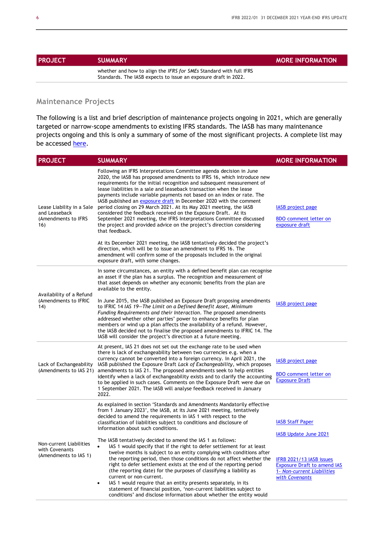| <b>PROJECT</b> | <b>SUMMARY</b>                                                     | <b>MORE INFORMATION</b> |
|----------------|--------------------------------------------------------------------|-------------------------|
|                | whether and how to align the IFRS for SMEs Standard with full IFRS |                         |

Standards. The IASB expects to issue an exposure draft in 2022.

#### **Maintenance Projects**

The following is a list and brief description of maintenance projects ongoing in 2021, which are generally targeted or narrow-scope amendments to existing IFRS standards. The IASB has many maintenance projects ongoing and this is only a summary of some of the most significant projects. A complete list may be accessed [here.](https://www.ifrs.org/projects/work-plan/)

| <b>PROJECT</b>                                                           | <b>SUMMARY</b>                                                                                                                                                                                                                                                                                                                                                                                                                                                                                                                                                                                                                                                                                                                                                                                                                                                                                                                                                                                                          | <b>MORE INFORMATION</b>                                                                                                                                                   |
|--------------------------------------------------------------------------|-------------------------------------------------------------------------------------------------------------------------------------------------------------------------------------------------------------------------------------------------------------------------------------------------------------------------------------------------------------------------------------------------------------------------------------------------------------------------------------------------------------------------------------------------------------------------------------------------------------------------------------------------------------------------------------------------------------------------------------------------------------------------------------------------------------------------------------------------------------------------------------------------------------------------------------------------------------------------------------------------------------------------|---------------------------------------------------------------------------------------------------------------------------------------------------------------------------|
| Lease Liability in a Sale<br>and Leaseback<br>(Amendments to IFRS<br>16) | Following an IFRS Interpretations Committee agenda decision in June<br>2020, the IASB has proposed amendments to IFRS 16, which introduce new<br>requirements for the initial recognition and subsequent measurement of<br>lease liabilities in a sale and leaseback transaction when the lease<br>payments include variable payments not based on an index or rate. The<br>IASB published an exposure draft in December 2020 with the comment<br>period closing on 29 March 2021. At its May 2021 meeting, the IASB<br>considered the feedback received on the Exposure Draft. At its<br>September 2021 meeting, the IFRS Interpretations Committee discussed<br>the project and provided advice on the project's direction considering<br>that feedback.<br>At its December 2021 meeting, the IASB tentatively decided the project's<br>direction, which will be to issue an amendment to IFRS 16. The<br>amendment will confirm some of the proposals included in the original<br>exposure draft, with some changes. | <b>IASB</b> project page<br><b>BDO</b> comment letter on<br>exposure draft                                                                                                |
| Availability of a Refund<br>(Amendments to IFRIC<br>14)                  | In some circumstances, an entity with a defined benefit plan can recognise<br>an asset if the plan has a surplus. The recognition and measurement of<br>that asset depends on whether any economic benefits from the plan are<br>available to the entity.<br>In June 2015, the IASB published an Exposure Draft proposing amendments<br>to IFRIC 14 IAS 19–The Limit on a Defined Benefit Asset, Minimum<br>Funding Requirements and their Interaction. The proposed amendments<br>addressed whether other parties' power to enhance benefits for plan<br>members or wind up a plan affects the availability of a refund. However,<br>the IASB decided not to finalise the proposed amendments to IFRIC 14. The<br>IASB will consider the project's direction at a future meeting.                                                                                                                                                                                                                                      | <b>IASB</b> project page                                                                                                                                                  |
| Lack of Exchangeability<br>(Amendments to IAS 21)                        | At present, IAS 21 does not set out the exchange rate to be used when<br>there is lack of exchangeability between two currencies e.g. when a<br>currency cannot be converted into a foreign currency. In April 2021, the<br>IASB published the Exposure Draft Lack of Exchangeability, which proposes<br>amendments to IAS 21. The proposed amendments seek to help entities<br>identify when a lack of exchangeability exists and to clarify the accounting<br>to be applied in such cases. Comments on the Exposure Draft were due on<br>1 September 2021. The IASB will analyse feedback received in January<br>2022.                                                                                                                                                                                                                                                                                                                                                                                                | IASB project page<br><b>BDO</b> comment letter on<br><b>Exposure Draft</b>                                                                                                |
| Non-current Liabilities<br>with Covenants<br>(Amendments to IAS 1)       | As explained in section 'Standards and Amendments Mandatorily effective<br>from 1 January 2023', the IASB, at its June 2021 meeting, tentatively<br>decided to amend the requirements in IAS 1 with respect to the<br>classification of liabilities subject to conditions and disclosure of<br>information about such conditions.<br>The IASB tentatively decided to amend the IAS 1 as follows:<br>IAS 1 would specify that if the right to defer settlement for at least<br>twelve months is subject to an entity complying with conditions after<br>the reporting period, then those conditions do not affect whether the<br>right to defer settlement exists at the end of the reporting period<br>(the reporting date) for the purposes of classifying a liability as<br>current or non-current.<br>IAS 1 would require that an entity presents separately, in its<br>statement of financial position, 'non-current liabilities subject to<br>conditions' and disclose information about whether the entity would  | <b>IASB Staff Paper</b><br><b>IASB Update June 2021</b><br>IFRB 2021/13 IASB issues<br><b>Exposure Draft to amend IAS</b><br>1- Non-current Liabilities<br>with Covenants |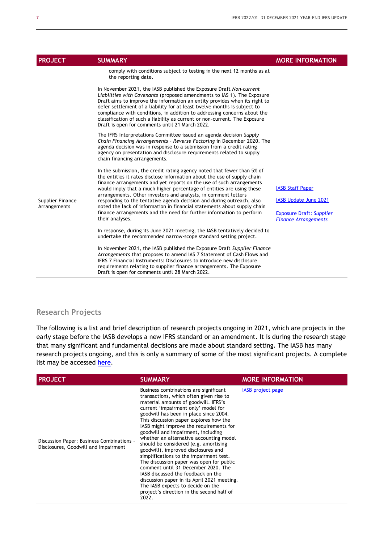| <b>PROJECT</b>                   | <b>SUMMARY</b>                                                                                                                                                                                                                                                                                                                                                                                                                                                                                                                                                                                                         | <b>MORE INFORMATION</b>                                                                                            |
|----------------------------------|------------------------------------------------------------------------------------------------------------------------------------------------------------------------------------------------------------------------------------------------------------------------------------------------------------------------------------------------------------------------------------------------------------------------------------------------------------------------------------------------------------------------------------------------------------------------------------------------------------------------|--------------------------------------------------------------------------------------------------------------------|
|                                  | comply with conditions subject to testing in the next 12 months as at<br>the reporting date.                                                                                                                                                                                                                                                                                                                                                                                                                                                                                                                           |                                                                                                                    |
|                                  | In November 2021, the IASB published the Exposure Draft Non-current<br>Liabilities with Covenants (proposed amendments to IAS 1). The Exposure<br>Draft aims to improve the information an entity provides when its right to<br>defer settlement of a liability for at least twelve months is subject to<br>compliance with conditions, in addition to addressing concerns about the<br>classification of such a liability as current or non-current. The Exposure<br>Draft is open for comments until 21 March 2022.                                                                                                  |                                                                                                                    |
|                                  | The IFRS Interpretations Committee issued an agenda decision Supply<br>Chain Financing Arrangements - Reverse Factoring in December 2020. The<br>agenda decision was in response to a submission from a credit rating<br>agency on presentation and disclosure requirements related to supply<br>chain financing arrangements.                                                                                                                                                                                                                                                                                         |                                                                                                                    |
| Supplier Finance<br>Arrangements | In the submission, the credit rating agency noted that fewer than 5% of<br>the entities it rates disclose information about the use of supply chain<br>finance arrangements and yet reports on the use of such arrangements<br>would imply that a much higher percentage of entities are using these<br>arrangements. Other investors and analysts, in comment letters<br>responding to the tentative agenda decision and during outreach, also<br>noted the lack of information in financial statements about supply chain<br>finance arrangements and the need for further information to perform<br>their analyses. | <b>IASB Staff Paper</b><br>IASB Update June 2021<br><b>Exposure Draft: Supplier</b><br><b>Finance Arrangements</b> |
|                                  | In response, during its June 2021 meeting, the IASB tentatively decided to<br>undertake the recommended narrow-scope standard setting project.                                                                                                                                                                                                                                                                                                                                                                                                                                                                         |                                                                                                                    |
|                                  | In November 2021, the IASB published the Exposure Draft Supplier Finance<br>Arrangements that proposes to amend IAS 7 Statement of Cash Flows and<br><b>IFRS 7 Financial Instruments: Disclosures to introduce new disclosure</b><br>requirements relating to supplier finance arrangements. The Exposure<br>Draft is open for comments until 28 March 2022.                                                                                                                                                                                                                                                           |                                                                                                                    |

### **Research Projects**

The following is a list and brief description of research projects ongoing in 2021, which are projects in the early stage before the IASB develops a new IFRS standard or an amendment. It is during the research stage that many significant and fundamental decisions are made about standard setting. The IASB has many research projects ongoing, and this is only a summary of some of the most significant projects. A complete list may be accessed [here.](https://www.ifrs.org/projects/work-plan/)

| <b>PROJECT</b>                                                                    | <b>SUMMARY</b>                                                                                                                                                                                                                                                                                                                                                                                                                                                                                                                                                                                                                                                                                                                                                                | <b>MORE INFORMATION</b>  |
|-----------------------------------------------------------------------------------|-------------------------------------------------------------------------------------------------------------------------------------------------------------------------------------------------------------------------------------------------------------------------------------------------------------------------------------------------------------------------------------------------------------------------------------------------------------------------------------------------------------------------------------------------------------------------------------------------------------------------------------------------------------------------------------------------------------------------------------------------------------------------------|--------------------------|
| Discussion Paper: Business Combinations -<br>Disclosures, Goodwill and Impairment | Business combinations are significant<br>transactions, which often given rise to<br>material amounts of goodwill. IFRS's<br>current 'impairment only' model for<br>goodwill has been in place since 2004.<br>This discussion paper explores how the<br>IASB might improve the requirements for<br>goodwill and impairment, including<br>whether an alternative accounting model<br>should be considered (e.g. amortising<br>goodwill), improved disclosures and<br>simplifications to the impairment test.<br>The discussion paper was open for public<br>comment until 31 December 2020. The<br>IASB discussed the feedback on the<br>discussion paper in its April 2021 meeting.<br>The IASB expects to decide on the<br>project's direction in the second half of<br>2022. | <b>IASB</b> project page |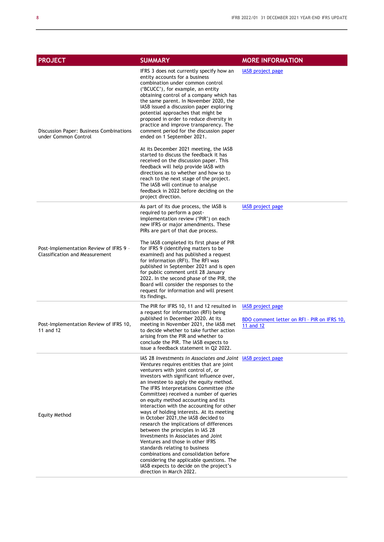| <b>PROJECT</b>                                                                  | <b>SUMMARY</b>                                                                                                                                                                                                                                                                                                                                                                                                                                                                                                                                                                                                                                                                                                                                                                                                                                                     | <b>MORE INFORMATION</b>                                                       |
|---------------------------------------------------------------------------------|--------------------------------------------------------------------------------------------------------------------------------------------------------------------------------------------------------------------------------------------------------------------------------------------------------------------------------------------------------------------------------------------------------------------------------------------------------------------------------------------------------------------------------------------------------------------------------------------------------------------------------------------------------------------------------------------------------------------------------------------------------------------------------------------------------------------------------------------------------------------|-------------------------------------------------------------------------------|
| Discussion Paper: Business Combinations<br>under Common Control                 | IFRS 3 does not currently specify how an<br>entity accounts for a business<br>combination under common control<br>('BCUCC'), for example, an entity<br>obtaining control of a company which has<br>the same parent. In November 2020, the<br>IASB issued a discussion paper exploring<br>potential approaches that might be<br>proposed in order to reduce diversity in<br>practice and improve transparency. The<br>comment period for the discussion paper<br>ended on 1 September 2021.                                                                                                                                                                                                                                                                                                                                                                         | <b>IASB</b> project page                                                      |
|                                                                                 | At its December 2021 meeting, the IASB<br>started to discuss the feedback it has<br>received on the discussion paper. This<br>feedback will help provide IASB with<br>directions as to whether and how so to<br>reach to the next stage of the project.<br>The IASB will continue to analyse<br>feedback in 2022 before deciding on the<br>project direction.                                                                                                                                                                                                                                                                                                                                                                                                                                                                                                      |                                                                               |
|                                                                                 | As part of its due process, the IASB is<br>required to perform a post-<br>implementation review ('PIR') on each<br>new IFRS or major amendments. These<br>PIRs are part of that due process.                                                                                                                                                                                                                                                                                                                                                                                                                                                                                                                                                                                                                                                                       | <b>IASB</b> project page                                                      |
| Post-Implementation Review of IFRS 9 -<br><b>Classification and Measurement</b> | The IASB completed its first phase of PIR<br>for IFRS 9 (identifying matters to be<br>examined) and has published a request<br>for information (RFI). The RFI was<br>published in September 2021 and is open<br>for public comment until 28 January<br>2022. In the second phase of the PIR, the<br>Board will consider the responses to the<br>request for information and will present<br>its findings.                                                                                                                                                                                                                                                                                                                                                                                                                                                          |                                                                               |
| Post-Implementation Review of IFRS 10,<br>11 and 12                             | The PIR for IFRS 10, 11 and 12 resulted in<br>a request for information (RFI) being<br>published in December 2020. At its<br>meeting in November 2021, the IASB met<br>to decide whether to take further action<br>arising from the PIR and whether to<br>conclude the PIR. The IASB expects to<br>issue a feedback statement in Q2 2022.                                                                                                                                                                                                                                                                                                                                                                                                                                                                                                                          | IASB project page<br>BDO comment letter on RFI - PIR on IFRS 10,<br>11 and 12 |
| Equity Method                                                                   | IAS 28 Investments in Associates and Joint IASB project page<br>Ventures requires entities that are joint<br>venturers with joint control of, or<br>investors with significant influence over,<br>an investee to apply the equity method.<br>The IFRS Interpretations Committee (the<br>Committee) received a number of queries<br>on equity method accounting and its<br>interaction with the accounting for other<br>ways of holding interests. At its meeting<br>in October 2021, the IASB decided to<br>research the implications of differences<br>between the principles in IAS 28<br>Investments in Associates and Joint<br>Ventures and those in other IFRS<br>standards relating to business<br>combinations and consolidation before<br>considering the applicable questions. The<br>IASB expects to decide on the project's<br>direction in March 2022. |                                                                               |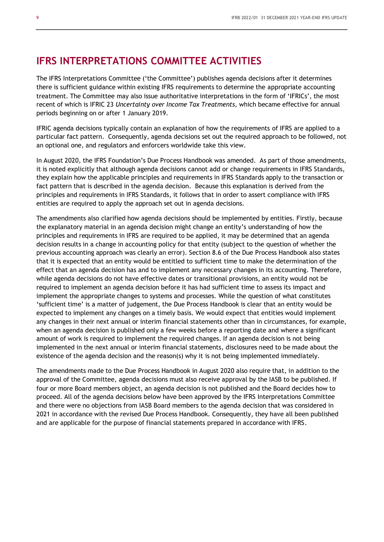## **IFRS INTERPRETATIONS COMMITTEE ACTIVITIES**

The IFRS Interpretations Committee ('the Committee') publishes agenda decisions after it determines there is sufficient guidance within existing IFRS requirements to determine the appropriate accounting treatment. The Committee may also issue authoritative interpretations in the form of 'IFRICs', the most recent of which is IFRIC 23 *Uncertainty over Income Tax Treatments,* which became effective for annual periods beginning on or after 1 January 2019.

IFRIC agenda decisions typically contain an explanation of how the requirements of IFRS are applied to a particular fact pattern. Consequently, agenda decisions set out the required approach to be followed, not an optional one, and regulators and enforcers worldwide take this view.

In August 2020, the IFRS Foundation's Due Process Handbook was amended. As part of those amendments, it is noted explicitly that although agenda decisions cannot add or change requirements in IFRS Standards, they explain how the applicable principles and requirements in IFRS Standards apply to the transaction or fact pattern that is described in the agenda decision. Because this explanation is derived from the principles and requirements in IFRS Standards, it follows that in order to assert compliance with IFRS entities are required to apply the approach set out in agenda decisions.

The amendments also clarified how agenda decisions should be implemented by entities. Firstly, because the explanatory material in an agenda decision might change an entity's understanding of how the principles and requirements in IFRS are required to be applied, it may be determined that an agenda decision results in a change in accounting policy for that entity (subject to the question of whether the previous accounting approach was clearly an error). Section 8.6 of the Due Process Handbook also states that it is expected that an entity would be entitled to sufficient time to make the determination of the effect that an agenda decision has and to implement any necessary changes in its accounting. Therefore, while agenda decisions do not have effective dates or transitional provisions, an entity would not be required to implement an agenda decision before it has had sufficient time to assess its impact and implement the appropriate changes to systems and processes. While the question of what constitutes 'sufficient time' is a matter of judgement, the Due Process Handbook is clear that an entity would be expected to implement any changes on a timely basis. We would expect that entities would implement any changes in their next annual or interim financial statements other than in circumstances, for example, when an agenda decision is published only a few weeks before a reporting date and where a significant amount of work is required to implement the required changes. If an agenda decision is not being implemented in the next annual or interim financial statements, disclosures need to be made about the existence of the agenda decision and the reason(s) why it is not being implemented immediately.

The amendments made to the Due Process Handbook in August 2020 also require that, in addition to the approval of the Committee, agenda decisions must also receive approval by the IASB to be published. If four or more Board members object, an agenda decision is not published and the Board decides how to proceed. All of the agenda decisions below have been approved by the IFRS Interpretations Committee and there were no objections from IASB Board members to the agenda decision that was considered in 2021 in accordance with the revised Due Process Handbook. Consequently, they have all been published and are applicable for the purpose of financial statements prepared in accordance with IFRS.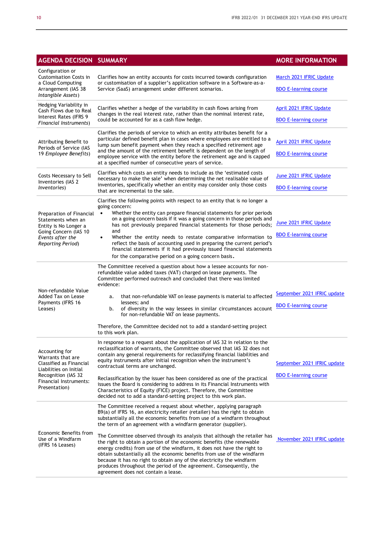| <b>AGENDA DECISION SUMMARY</b>                                                                                                                             |                                                                                                                                                                                                                                                                                                                                                                                                                                                                                                                                                                                                                                                                                                                                                                                                      | <b>MORE INFORMATION</b>                                     |
|------------------------------------------------------------------------------------------------------------------------------------------------------------|------------------------------------------------------------------------------------------------------------------------------------------------------------------------------------------------------------------------------------------------------------------------------------------------------------------------------------------------------------------------------------------------------------------------------------------------------------------------------------------------------------------------------------------------------------------------------------------------------------------------------------------------------------------------------------------------------------------------------------------------------------------------------------------------------|-------------------------------------------------------------|
| Configuration or<br><b>Customisation Costs in</b><br>a Cloud Computing<br>Arrangement (IAS 38<br>Intangible Assets)                                        | Clarifies how an entity accounts for costs incurred towards configuration<br>or customisation of a supplier's application software in a Software-as-a-<br>Service (SaaS) arrangement under different scenarios.                                                                                                                                                                                                                                                                                                                                                                                                                                                                                                                                                                                      | March 2021 IFRIC Update<br><b>BDO E-learning course</b>     |
| Hedging Variability in<br>Cash Flows due to Real<br>Interest Rates (IFRS 9<br>Financial Instruments)                                                       | Clarifies whether a hedge of the variability in cash flows arising from<br>changes in the real interest rate, rather than the nominal interest rate,<br>could be accounted for as a cash flow hedge.                                                                                                                                                                                                                                                                                                                                                                                                                                                                                                                                                                                                 | April 2021 IFRIC Update<br><b>BDO E-learning course</b>     |
| Attributing Benefit to<br>Periods of Service (IAS<br>19 Employee Benefits)                                                                                 | Clarifies the periods of service to which an entity attributes benefit for a<br>particular defined benefit plan in cases where employees are entitled to a<br>lump sum benefit payment when they reach a specified retirement age<br>and the amount of the retirement benefit is dependent on the length of<br>employee service with the entity before the retirement age and is capped<br>at a specified number of consecutive years of service.                                                                                                                                                                                                                                                                                                                                                    | April 2021 IFRIC Update<br><b>BDO E-learning course</b>     |
| Costs Necessary to Sell<br>Inventories (IAS 2<br><i>Inventories</i> )                                                                                      | Clarifies which costs an entity needs to include as the 'estimated costs<br>necessary to make the sale' when determining the net realisable value of<br>inventories, specifically whether an entity may consider only those costs<br>that are incremental to the sale.                                                                                                                                                                                                                                                                                                                                                                                                                                                                                                                               | June 2021 IFRIC Update<br><b>BDO E-learning course</b>      |
| Preparation of Financial<br>Statements when an<br>Entity is No Longer a<br>Going Concern (IAS 10<br>Events after the<br>Reporting Period)                  | Clarifies the following points with respect to an entity that is no longer a<br>going concern:<br>Whether the entity can prepare financial statements for prior periods<br>on a going concern basis if it was a going concern in those periods and<br>has not previously prepared financial statements for those periods;<br>and<br>Whether the entity needs to restate comparative information to<br>$\bullet$<br>reflect the basis of accounting used in preparing the current period's<br>financial statements if it had previously issued financial statements<br>for the comparative period on a going concern basis.                                                                                                                                                                           | June 2021 IFRIC Update<br><b>BDO E-learning course</b>      |
| Non-refundable Value<br>Added Tax on Lease<br>Payments (IFRS 16<br>Leases)                                                                                 | The Committee received a question about how a lessee accounts for non-<br>refundable value added taxes (VAT) charged on lease payments. The<br>Committee performed outreach and concluded that there was limited<br>evidence:<br>that non-refundable VAT on lease payments is material to affected<br>a.<br>lessees: and<br>of diversity in the way lessees in similar circumstances account<br>b.<br>for non-refundable VAT on lease payments.<br>Therefore, the Committee decided not to add a standard-setting project<br>to this work plan.                                                                                                                                                                                                                                                      | September 2021 IFRIC update<br><b>BDO E-learning course</b> |
| Accounting for<br>Warrants that are<br>Classified as Financial<br>Liabilities on Initial<br>Recognition (IAS 32<br>Financial Instruments:<br>Presentation) | In response to a request about the application of IAS 32 in relation to the<br>reclassification of warrants, the Committee observed that IAS 32 does not<br>contain any general requirements for reclassifying financial liabilities and<br>equity instruments after initial recognition when the instrument's<br>contractual terms are unchanged.<br>Reclassification by the issuer has been considered as one of the practical<br>issues the Board is considering to address in its Financial Instruments with<br>Characteristics of Equity (FICE) project. Therefore, the Committee<br>decided not to add a standard-setting project to this work plan.                                                                                                                                           | September 2021 IFRIC update<br><b>BDO E-learning course</b> |
| Economic Benefits from<br>Use of a Windfarm<br>(IFRS 16 Leases)                                                                                            | The Committee received a request about whether, applying paragraph<br>B9(a) of IFRS 16, an electricity retailer (retailer) has the right to obtain<br>substantially all the economic benefits from use of a windfarm throughout<br>the term of an agreement with a windfarm generator (supplier).<br>The Committee observed through its analysis that although the retailer has<br>the right to obtain a portion of the economic benefits (the renewable<br>energy credits) from use of the windfarm, it does not have the right to<br>obtain substantially all the economic benefits from use of the windfarm<br>because it has no right to obtain any of the electricity the windfarm<br>produces throughout the period of the agreement. Consequently, the<br>agreement does not contain a lease. | November 2021 IFRIC update                                  |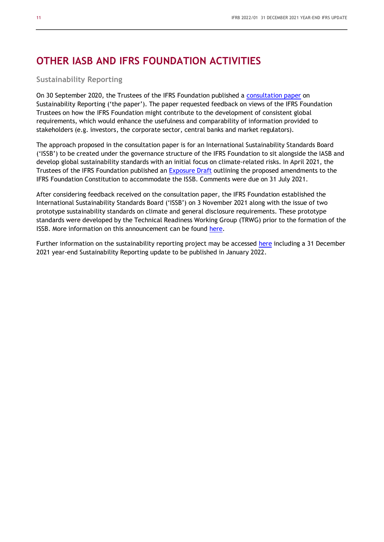## **OTHER IASB AND IFRS FOUNDATION ACTIVITIES**

#### **Sustainability Reporting**

On 30 September 2020, the Trustees of the IFRS Foundation published a [consultation paper](https://cdn.ifrs.org/-/media/project/sustainability-reporting/consultation-paper-on-sustainability-reporting.pdf?la=en) on Sustainability Reporting ('the paper'). The paper requested feedback on views of the IFRS Foundation Trustees on how the IFRS Foundation might contribute to the development of consistent global requirements, which would enhance the usefulness and comparability of information provided to stakeholders (e.g. investors, the corporate sector, central banks and market regulators).

The approach proposed in the consultation paper is for an International Sustainability Standards Board ('ISSB') to be created under the governance structure of the IFRS Foundation to sit alongside the IASB and develop global sustainability standards with an initial focus on climate-related risks. In April 2021, the Trustees of the IFRS Foundation published an [Exposure Draft](https://www.ifrs.org/content/dam/ifrs/project/sustainability-reporting/ed-2021-5-proposed-constitution-amendments-to-accommodate-sustainability-board.pdf) outlining the proposed amendments to the IFRS Foundation Constitution to accommodate the ISSB. Comments were due on 31 July 2021.

After considering feedback received on the consultation paper, the IFRS Foundation established the International Sustainability Standards Board ('ISSB') on 3 November 2021 along with the issue of two prototype sustainability standards on climate and general disclosure requirements. These prototype standards were developed by the Technical Readiness Working Group (TRWG) prior to the formation of the ISSB. More information on this announcement can be found [here.](https://www.bdo.global/getmedia/22e358bf-f167-40b2-a0a8-5beddae8c807/ISRB-2021-01-ISSB-formed-and-prototype-standards.pdf.aspx)

Further information on the sustainability reporting project may be accessed [here](https://www.ifrs.org/projects/work-plan/sustainability-reporting/#current-stage) including a 31 December 2021 year-end Sustainability Reporting update to be published in January 2022.